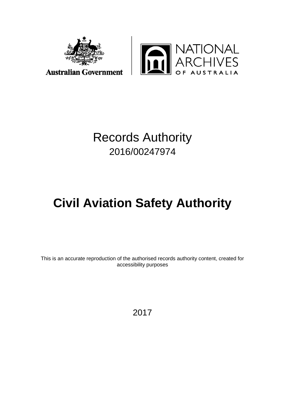



## Records Authority 2016/00247974

# **Civil Aviation Safety Authority**

This is an accurate reproduction of the authorised records authority content, created for accessibility purposes

2017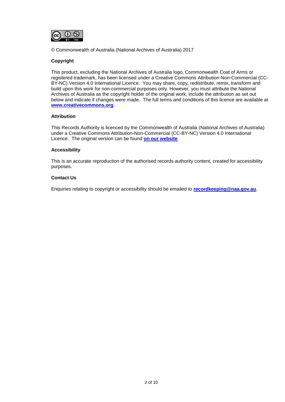

© Commonwealth of Australia (National Archives of Australia) 2017

#### **Copyright**

This product, excluding the National Archives of Australia logo, Commonwealth Coat of Arms or registered trademark, has been licensed under a Creative Commons Attribution-Non-Commercial (CC-BY-NC) Version 4.0 International Licence. You may share, copy, redistribute, remix, transform and build upon this work for non-commercial purposes only. However, you must attribute the National Archives of Australia as the copyright holder of the original work, include the attribution as set out below and indicate if changes were made. The full terms and conditions of this licence are available at **[www.creativecommons.org](http://www.creativecommons.org/)**.

#### **Attribution**

This Records Authority is licenced by the Commonwealth of Australia (National Archives of Australia) under a Creative Commons Attribution-Non-Commercial (CC-BY-NC) Version 4.0 International Licence. The original version can be found **[on our website](http://www.naa.gov.au/)**.

#### **Accessibility**

This is an accurate reproduction of the authorised records authority content, created for accessibility purposes.

#### **Contact Us**

Enquiries relating to copyright or accessibility should be emailed to **[recordkeeping@naa.gov.au](mailto:recordkeeping@naa.gov.au)**.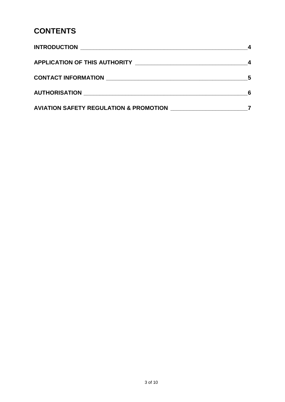## **CONTENTS**

| <b>AVIATION SAFETY REGULATION &amp; PROMOTION</b> |  |
|---------------------------------------------------|--|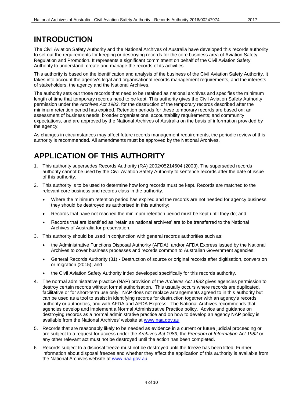#### <span id="page-3-0"></span>**INTRODUCTION**

The Civil Aviation Safety Authority and the National Archives of Australia have developed this records authority to set out the requirements for keeping or destroying records for the core business area of Aviation Safety Regulation and Promotion. It represents a significant commitment on behalf of the Civil Aviation Safety Authority to understand, create and manage the records of its activities.

This authority is based on the identification and analysis of the business of the Civil Aviation Safety Authority. It takes into account the agency's legal and organisational records management requirements, and the interests of stakeholders, the agency and the National Archives.

The authority sets out those records that need to be retained as national archives and specifies the minimum length of time that temporary records need to be kept. This authority gives the Civil Aviation Safety Authority permission under the *Archives Act 1983*, for the destruction of the temporary records described after the minimum retention period has expired. Retention periods for these temporary records are based on: an assessment of business needs; broader organisational accountability requirements; and community expectations, and are approved by the National Archives of Australia on the basis of information provided by the agency.

As changes in circumstances may affect future records management requirements, the periodic review of this authority is recommended. All amendments must be approved by the National Archives.

### <span id="page-3-1"></span>**APPLICATION OF THIS AUTHORITY**

- 1. This authority supersedes Records Authority (RA) 2002/05214604 (2003). The superseded records authority cannot be used by the Civil Aviation Safety Authority to sentence records after the date of issue of this authority.
- 2. This authority is to be used to determine how long records must be kept. Records are matched to the relevant core business and records class in the authority.
	- Where the minimum retention period has expired and the records are not needed for agency business they should be destroyed as authorised in this authority;
	- Records that have not reached the minimum retention period must be kept until they do; and
	- Records that are identified as 'retain as national archives' are to be transferred to the National Archives of Australia for preservation.
- 3. This authority should be used in conjunction with general records authorities such as:
	- the Administrative Functions Disposal Authority (AFDA) and/or AFDA Express issued by the National Archives to cover business processes and records common to Australian Government agencies;
	- General Records Authority (31) Destruction of source or original records after digitisation, conversion or migration (2015); and
	- the Civil Aviation Safety Authority index developed specifically for this records authority.
- 4. The normal administrative practice (NAP) provision of the *Archives Act 1983* gives agencies permission to destroy certain records without formal authorisation. This usually occurs where records are duplicated, facilitative or for short-term use only. NAP does not replace arrangements agreed to in this authority but can be used as a tool to assist in identifying records for destruction together with an agency's records authority or authorities, and with AFDA and AFDA Express. The National Archives recommends that agencies develop and implement a Normal Administrative Practice policy. Advice and guidance on destroying records as a normal administrative practice and on how to develop an agency NAP policy is available from the National Archives' website at [www.naa.gov.au](http://www.naa.gov.au/)
- 5. Records that are reasonably likely to be needed as evidence in a current or future judicial proceeding or are subject to a request for access under the *Archives Act 1983*, the *Freedom of Information Act 1982* or any other relevant act must not be destroyed until the action has been completed.
- 6. Records subject to a disposal freeze must not be destroyed until the freeze has been lifted. Further information about disposal freezes and whether they affect the application of this authority is available from the National Archives website at [www.naa.gov.au](http://www.naa.gov.au/)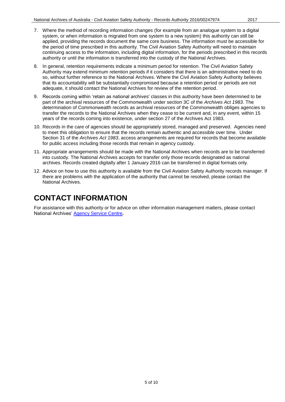- 7. Where the method of recording information changes (for example from an analogue system to a digital system, or when information is migrated from one system to a new system) this authority can still be applied, providing the records document the same core business. The information must be accessible for the period of time prescribed in this authority. The Civil Aviation Safety Authority will need to maintain continuing access to the information, including digital information, for the periods prescribed in this records authority or until the information is transferred into the custody of the National Archives.
- 8. In general, retention requirements indicate a minimum period for retention. The Civil Aviation Safety Authority may extend minimum retention periods if it considers that there is an administrative need to do so, without further reference to the National Archives. Where the Civil Aviation Safety Authority believes that its accountability will be substantially compromised because a retention period or periods are not adequate, it should contact the National Archives for review of the retention period.
- 9. Records coming within 'retain as national archives' classes in this authority have been determined to be part of the archival resources of the Commonwealth under section 3C of the *Archives Act 1983*. The determination of Commonwealth records as archival resources of the Commonwealth obliges agencies to transfer the records to the National Archives when they cease to be current and, in any event, within 15 years of the records coming into existence, under section 27 of the Archives Act 1983.
- 10. Records in the care of agencies should be appropriately stored, managed and preserved. Agencies need to meet this obligation to ensure that the records remain authentic and accessible over time. Under Section 31 of the *Archives Act 1983*, access arrangements are required for records that become available for public access including those records that remain in agency custody.
- 11. Appropriate arrangements should be made with the National Archives when records are to be transferred into custody. The National Archives accepts for transfer only those records designated as national archives. Records created digitally after 1 January 2016 can be transferred in digital formats only.
- 12. Advice on how to use this authority is available from the Civil Aviation Safety Authority records manager. If there are problems with the application of the authority that cannot be resolved, please contact the National Archives.

#### <span id="page-4-0"></span>**CONTACT INFORMATION**

For assistance with this authority or for advice on other information management matters, please contact National Archives' [Agency Service Centre](http://reftracker.naa.gov.au/reft000.aspx)**.**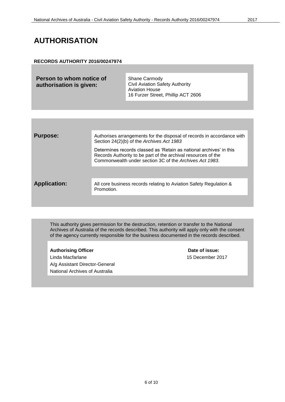#### <span id="page-5-0"></span>**AUTHORISATION**

#### **RECORDS AUTHORITY 2016/00247974**

| Person to whom notice of | Shane Carmody                          |
|--------------------------|----------------------------------------|
| authorisation is given:  | <b>Civil Aviation Safety Authority</b> |
|                          | <b>Aviation House</b>                  |
|                          | 16 Furzer Street, Phillip ACT 2606     |

| <b>Purpose:</b>     | Authorises arrangements for the disposal of records in accordance with<br>Section 24(2)(b) of the Archives Act 1983                                                                             |
|---------------------|-------------------------------------------------------------------------------------------------------------------------------------------------------------------------------------------------|
|                     | Determines records classed as 'Retain as national archives' in this<br>Records Authority to be part of the archival resources of the<br>Commonwealth under section 3C of the Archives Act 1983. |
|                     |                                                                                                                                                                                                 |
| <b>Application:</b> | All core business records relating to Aviation Safety Regulation &<br>Promotion.                                                                                                                |
|                     |                                                                                                                                                                                                 |

This authority gives permission for the destruction, retention or transfer to the National Archives of Australia of the records described. This authority will apply only with the consent of the agency currently responsible for the business documented in the records described.

Authorising Officer **Contract Contract Contract Contract Contract Contract Contract Contract Contract Contract Contract Contract Contract Contract Contract Contract Contract Contract Contract Contract Contract Contract Con** Linda Macfarlane 15 December 2017 A/g Assistant Director-General National Archives of Australia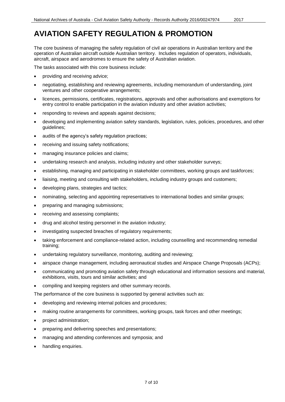<span id="page-6-0"></span>The core business of managing the safety regulation of civil air operations in Australian territory and the operation of Australian aircraft outside Australian territory. Includes regulation of operators, individuals, aircraft, airspace and aerodromes to ensure the safety of Australian aviation.

The tasks associated with this core business include:

- providing and receiving advice;
- negotiating, establishing and reviewing agreements, including memorandum of understanding, joint ventures and other cooperative arrangements;
- licences, permissions, certificates, registrations, approvals and other authorisations and exemptions for entry control to enable participation in the aviation industry and other aviation activities;
- responding to reviews and appeals against decisions;
- developing and implementing aviation safety standards, legislation, rules, policies, procedures, and other guidelines;
- audits of the agency's safety regulation practices;
- receiving and issuing safety notifications;
- managing insurance policies and claims;
- undertaking research and analysis, including industry and other stakeholder surveys;
- establishing, managing and participating in stakeholder committees, working groups and taskforces;
- liaising, meeting and consulting with stakeholders, including industry groups and customers;
- developing plans, strategies and tactics;
- nominating, selecting and appointing representatives to international bodies and similar groups;
- preparing and managing submissions;
- receiving and assessing complaints;
- drug and alcohol testing personnel in the aviation industry;
- investigating suspected breaches of regulatory requirements;
- taking enforcement and compliance-related action, including counselling and recommending remedial training;
- undertaking regulatory surveillance, monitoring, auditing and reviewing;
- airspace change management, including aeronautical studies and Airspace Change Proposals (ACPs);
- communicating and promoting aviation safety through educational and information sessions and material, exhibitions, visits, tours and similar activities; and
- compiling and keeping registers and other summary records.

The performance of the core business is supported by general activities such as:

- developing and reviewing internal policies and procedures;
- making routine arrangements for committees, working groups, task forces and other meetings;
- project administration;
- preparing and delivering speeches and presentations;
- managing and attending conferences and symposia; and
- handling enquiries.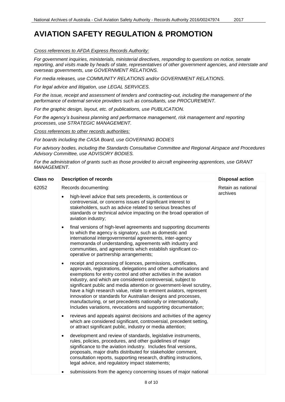#### *Cross references to AFDA Express Records Authority:*

*For government inquiries, ministerials, ministerial directives, responding to questions on notice, senate reporting, and visits made by heads of state, representatives of other government agencies, and interstate and overseas governments, use GOVERNMENT RELATIONS.*

*For media releases, use COMMUNITY RELATIONS and/or GOVERNMENT RELATIONS.*

*For legal advice and litigation, use LEGAL SERVICES.*

*For the issue, receipt and assessment of tenders and contracting-out, including the management of the performance of external service providers such as consultants, use PROCUREMENT.*

*For the graphic design, layout, etc. of publications, use PUBLICATION.*

*For the agency's business planning and performance management, risk management and reporting processes, use STRATEGIC MANAGEMENT.*

*Cross references to other records authorities:*

*For boards including the CASA Board, use GOVERNING BODIES*

*For advisory bodies, including the Standards Consultative Committee and Regional Airspace and Procedures Advisory Committee, use ADVISORY BODIES.*

*For the administration of grants such as those provided to aircraft engineering apprentices, use GRANT MANAGEMENT.*

| <b>Class no</b> | <b>Description of records</b>                                                                                                                                                                                                                                                                                                                                                                                                                                                                                                                                                                                                             | <b>Disposal action</b>         |
|-----------------|-------------------------------------------------------------------------------------------------------------------------------------------------------------------------------------------------------------------------------------------------------------------------------------------------------------------------------------------------------------------------------------------------------------------------------------------------------------------------------------------------------------------------------------------------------------------------------------------------------------------------------------------|--------------------------------|
| 62052           | Records documenting:                                                                                                                                                                                                                                                                                                                                                                                                                                                                                                                                                                                                                      | Retain as national<br>archives |
|                 | high-level advice that sets precedents, is contentious or<br>controversial, or concerns issues of significant interest to<br>stakeholders, such as advice related to serious breaches of<br>standards or technical advice impacting on the broad operation of<br>aviation industry;                                                                                                                                                                                                                                                                                                                                                       |                                |
|                 | final versions of high-level agreements and supporting documents<br>$\bullet$<br>to which the agency is signatory, such as domestic and<br>international intergovernmental agreements, inter-agency<br>memoranda of understanding, agreements with industry and<br>communities, and agreements which establish significant co-<br>operative or partnership arrangements;                                                                                                                                                                                                                                                                  |                                |
|                 | receipt and processing of licences, permissions, certificates,<br>$\bullet$<br>approvals, registrations, delegations and other authorisations and<br>exemptions for entry control and other activities in the aviation<br>industry, and which are considered controversial, subject to<br>significant public and media attention or government-level scrutiny,<br>have a high research value, relate to eminent aviators, represent<br>innovation or standards for Australian designs and processes,<br>manufacturing, or set precedents nationally or internationally.<br>Includes variations, revocations and supporting documentation; |                                |
|                 | reviews and appeals against decisions and activities of the agency<br>$\bullet$<br>which are considered significant, controversial, precedent setting,<br>or attract significant public, industry or media attention;                                                                                                                                                                                                                                                                                                                                                                                                                     |                                |
|                 | development and review of standards, legislative instruments,<br>$\bullet$<br>rules, policies, procedures, and other guidelines of major<br>significance to the aviation industry. Includes final versions,<br>proposals, major drafts distributed for stakeholder comment,<br>consultation reports, supporting research, drafting instructions,<br>legal advice, and regulatory impact statements;                                                                                                                                                                                                                                       |                                |
|                 | submissions from the agency concerning issues of major national                                                                                                                                                                                                                                                                                                                                                                                                                                                                                                                                                                           |                                |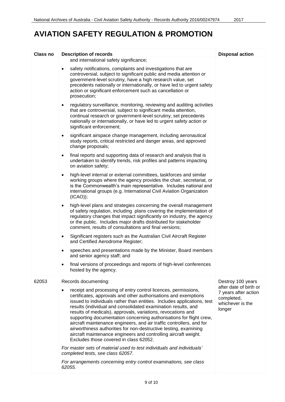| Class no | <b>Description of records</b>                                                                                                                                                                                                                                                                                                                                                                                                                                                                                                                                                                                                                                                              | <b>Disposal action</b>                                                                     |
|----------|--------------------------------------------------------------------------------------------------------------------------------------------------------------------------------------------------------------------------------------------------------------------------------------------------------------------------------------------------------------------------------------------------------------------------------------------------------------------------------------------------------------------------------------------------------------------------------------------------------------------------------------------------------------------------------------------|--------------------------------------------------------------------------------------------|
|          | and international safety significance;                                                                                                                                                                                                                                                                                                                                                                                                                                                                                                                                                                                                                                                     |                                                                                            |
|          | safety notifications, complaints and investigations that are<br>$\bullet$<br>controversial, subject to significant public and media attention or<br>government-level scrutiny, have a high research value, set<br>precedents nationally or internationally, or have led to urgent safety<br>action or significant enforcement such as cancellation or<br>prosecution;                                                                                                                                                                                                                                                                                                                      |                                                                                            |
|          | regulatory surveillance, monitoring, reviewing and auditing activities<br>$\bullet$<br>that are controversial, subject to significant media attention,<br>continual research or government-level scrutiny, set precedents<br>nationally or internationally, or have led to urgent safety action or<br>significant enforcement;                                                                                                                                                                                                                                                                                                                                                             |                                                                                            |
|          | significant airspace change management, including aeronautical<br>٠<br>study reports, critical restricted and danger areas, and approved<br>change proposals;                                                                                                                                                                                                                                                                                                                                                                                                                                                                                                                              |                                                                                            |
|          | final reports and supporting data of research and analysis that is<br>$\bullet$<br>undertaken to identify trends, risk profiles and patterns impacting<br>on aviation safety;                                                                                                                                                                                                                                                                                                                                                                                                                                                                                                              |                                                                                            |
|          | high-level internal or external committees, taskforces and similar<br>$\bullet$<br>working groups where the agency provides the chair, secretariat, or<br>is the Commonwealth's main representative. Includes national and<br>international groups (e.g. International Civil Aviation Organization<br>$(ICAO)$ ;                                                                                                                                                                                                                                                                                                                                                                           |                                                                                            |
|          | high-level plans and strategies concerning the overall management<br>$\bullet$<br>of safety regulation, including plans covering the implementation of<br>regulatory changes that impact significantly on industry, the agency<br>or the public. Includes major drafts distributed for stakeholder<br>comment, results of consultations and final versions;                                                                                                                                                                                                                                                                                                                                |                                                                                            |
|          | Significant registers such as the Australian Civil Aircraft Register<br>$\bullet$<br>and Certified Aerodrome Register;                                                                                                                                                                                                                                                                                                                                                                                                                                                                                                                                                                     |                                                                                            |
|          | speeches and presentations made by the Minister, Board members<br>$\bullet$<br>and senior agency staff; and                                                                                                                                                                                                                                                                                                                                                                                                                                                                                                                                                                                |                                                                                            |
|          | final versions of proceedings and reports of high-level conferences<br>hosted by the agency.                                                                                                                                                                                                                                                                                                                                                                                                                                                                                                                                                                                               |                                                                                            |
| 62053    | Records documenting:                                                                                                                                                                                                                                                                                                                                                                                                                                                                                                                                                                                                                                                                       | Destroy 100 years                                                                          |
|          | receipt and processing of entry control licences, permissions,<br>$\bullet$<br>certificates, approvals and other authorisations and exemptions<br>issued to individuals rather than entities. Includes applications, test<br>results (individual and consolidated examination results, and<br>results of medicals), approvals, variations, revocations and<br>supporting documentation concerning authorisations for flight crew,<br>aircraft maintenance engineers, and air traffic controllers, and for<br>airworthiness authorities for non-destructive testing, examining<br>aircraft maintenance engineers and controlling aircraft weight.<br>Excludes those covered in class 62052. | after date of birth or<br>7 years after action<br>completed,<br>whichever is the<br>longer |
|          | For master sets of material used to test individuals and individuals'<br>completed tests, see class 62057.                                                                                                                                                                                                                                                                                                                                                                                                                                                                                                                                                                                 |                                                                                            |
|          | For arrangements concerning entry control examinations, see class<br>62055.                                                                                                                                                                                                                                                                                                                                                                                                                                                                                                                                                                                                                |                                                                                            |